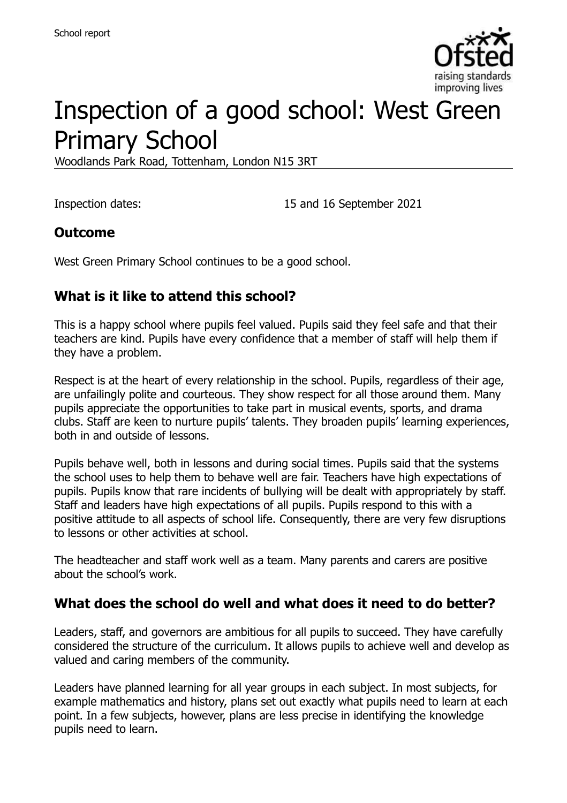

# Inspection of a good school: West Green Primary School

Woodlands Park Road, Tottenham, London N15 3RT

Inspection dates: 15 and 16 September 2021

#### **Outcome**

West Green Primary School continues to be a good school.

### **What is it like to attend this school?**

This is a happy school where pupils feel valued. Pupils said they feel safe and that their teachers are kind. Pupils have every confidence that a member of staff will help them if they have a problem.

Respect is at the heart of every relationship in the school. Pupils, regardless of their age, are unfailingly polite and courteous. They show respect for all those around them. Many pupils appreciate the opportunities to take part in musical events, sports, and drama clubs. Staff are keen to nurture pupils' talents. They broaden pupils' learning experiences, both in and outside of lessons.

Pupils behave well, both in lessons and during social times. Pupils said that the systems the school uses to help them to behave well are fair. Teachers have high expectations of pupils. Pupils know that rare incidents of bullying will be dealt with appropriately by staff. Staff and leaders have high expectations of all pupils. Pupils respond to this with a positive attitude to all aspects of school life. Consequently, there are very few disruptions to lessons or other activities at school.

The headteacher and staff work well as a team. Many parents and carers are positive about the school's work.

#### **What does the school do well and what does it need to do better?**

Leaders, staff, and governors are ambitious for all pupils to succeed. They have carefully considered the structure of the curriculum. It allows pupils to achieve well and develop as valued and caring members of the community.

Leaders have planned learning for all year groups in each subject. In most subjects, for example mathematics and history, plans set out exactly what pupils need to learn at each point. In a few subjects, however, plans are less precise in identifying the knowledge pupils need to learn.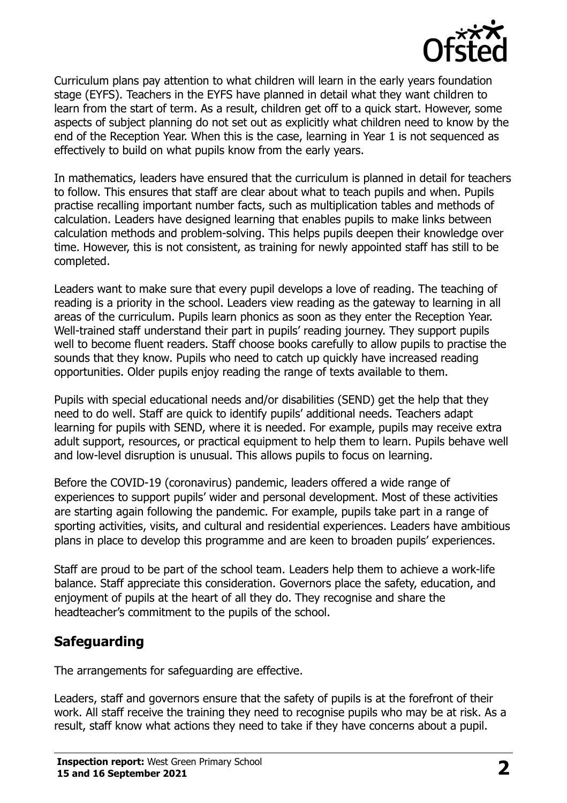

Curriculum plans pay attention to what children will learn in the early years foundation stage (EYFS). Teachers in the EYFS have planned in detail what they want children to learn from the start of term. As a result, children get off to a quick start. However, some aspects of subject planning do not set out as explicitly what children need to know by the end of the Reception Year. When this is the case, learning in Year 1 is not sequenced as effectively to build on what pupils know from the early years.

In mathematics, leaders have ensured that the curriculum is planned in detail for teachers to follow. This ensures that staff are clear about what to teach pupils and when. Pupils practise recalling important number facts, such as multiplication tables and methods of calculation. Leaders have designed learning that enables pupils to make links between calculation methods and problem-solving. This helps pupils deepen their knowledge over time. However, this is not consistent, as training for newly appointed staff has still to be completed.

Leaders want to make sure that every pupil develops a love of reading. The teaching of reading is a priority in the school. Leaders view reading as the gateway to learning in all areas of the curriculum. Pupils learn phonics as soon as they enter the Reception Year. Well-trained staff understand their part in pupils' reading journey. They support pupils well to become fluent readers. Staff choose books carefully to allow pupils to practise the sounds that they know. Pupils who need to catch up quickly have increased reading opportunities. Older pupils enjoy reading the range of texts available to them.

Pupils with special educational needs and/or disabilities (SEND) get the help that they need to do well. Staff are quick to identify pupils' additional needs. Teachers adapt learning for pupils with SEND, where it is needed. For example, pupils may receive extra adult support, resources, or practical equipment to help them to learn. Pupils behave well and low-level disruption is unusual. This allows pupils to focus on learning.

Before the COVID-19 (coronavirus) pandemic, leaders offered a wide range of experiences to support pupils' wider and personal development. Most of these activities are starting again following the pandemic. For example, pupils take part in a range of sporting activities, visits, and cultural and residential experiences. Leaders have ambitious plans in place to develop this programme and are keen to broaden pupils' experiences.

Staff are proud to be part of the school team. Leaders help them to achieve a work-life balance. Staff appreciate this consideration. Governors place the safety, education, and enjoyment of pupils at the heart of all they do. They recognise and share the headteacher's commitment to the pupils of the school.

#### **Safeguarding**

The arrangements for safeguarding are effective.

Leaders, staff and governors ensure that the safety of pupils is at the forefront of their work. All staff receive the training they need to recognise pupils who may be at risk. As a result, staff know what actions they need to take if they have concerns about a pupil.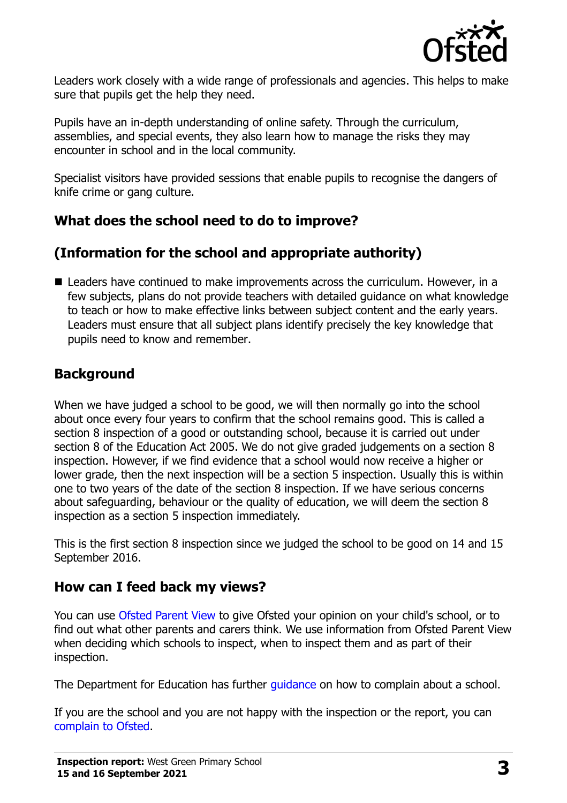

Leaders work closely with a wide range of professionals and agencies. This helps to make sure that pupils get the help they need.

Pupils have an in-depth understanding of online safety. Through the curriculum, assemblies, and special events, they also learn how to manage the risks they may encounter in school and in the local community.

Specialist visitors have provided sessions that enable pupils to recognise the dangers of knife crime or gang culture.

### **What does the school need to do to improve?**

# **(Information for the school and appropriate authority)**

■ Leaders have continued to make improvements across the curriculum. However, in a few subjects, plans do not provide teachers with detailed guidance on what knowledge to teach or how to make effective links between subject content and the early years. Leaders must ensure that all subject plans identify precisely the key knowledge that pupils need to know and remember.

### **Background**

When we have judged a school to be good, we will then normally go into the school about once every four years to confirm that the school remains good. This is called a section 8 inspection of a good or outstanding school, because it is carried out under section 8 of the Education Act 2005. We do not give graded judgements on a section 8 inspection. However, if we find evidence that a school would now receive a higher or lower grade, then the next inspection will be a section 5 inspection. Usually this is within one to two years of the date of the section 8 inspection. If we have serious concerns about safeguarding, behaviour or the quality of education, we will deem the section 8 inspection as a section 5 inspection immediately.

This is the first section 8 inspection since we judged the school to be good on 14 and 15 September 2016.

#### **How can I feed back my views?**

You can use [Ofsted Parent View](https://parentview.ofsted.gov.uk/) to give Ofsted your opinion on your child's school, or to find out what other parents and carers think. We use information from Ofsted Parent View when deciding which schools to inspect, when to inspect them and as part of their inspection.

The Department for Education has further quidance on how to complain about a school.

If you are the school and you are not happy with the inspection or the report, you can [complain to Ofsted.](https://www.gov.uk/complain-ofsted-report)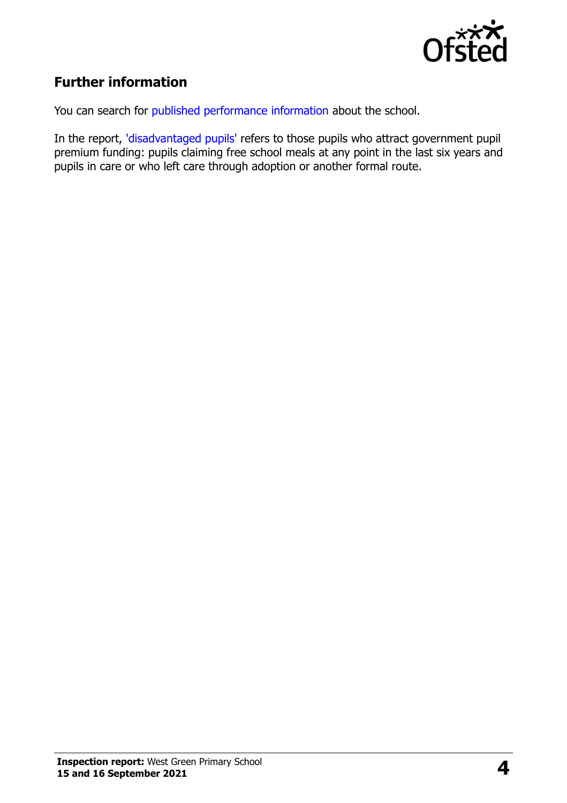

# **Further information**

You can search for [published performance information](http://www.compare-school-performance.service.gov.uk/) about the school.

In the report, ['disadvantaged pupils'](http://www.gov.uk/guidance/pupil-premium-information-for-schools-and-alternative-provision-settings) refers to those pupils who attract government pupil premium funding: pupils claiming free school meals at any point in the last six years and pupils in care or who left care through adoption or another formal route.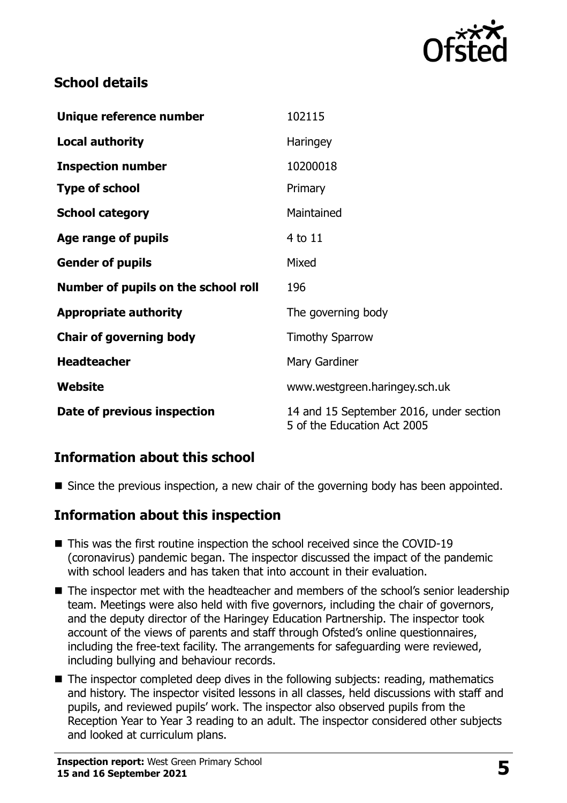

# **School details**

| Unique reference number             | 102115                                                                 |
|-------------------------------------|------------------------------------------------------------------------|
| <b>Local authority</b>              | Haringey                                                               |
| <b>Inspection number</b>            | 10200018                                                               |
| <b>Type of school</b>               | Primary                                                                |
| <b>School category</b>              | Maintained                                                             |
| Age range of pupils                 | 4 to 11                                                                |
| <b>Gender of pupils</b>             | Mixed                                                                  |
| Number of pupils on the school roll | 196                                                                    |
| <b>Appropriate authority</b>        | The governing body                                                     |
| <b>Chair of governing body</b>      | <b>Timothy Sparrow</b>                                                 |
| <b>Headteacher</b>                  | Mary Gardiner                                                          |
| Website                             | www.westgreen.haringey.sch.uk                                          |
| Date of previous inspection         | 14 and 15 September 2016, under section<br>5 of the Education Act 2005 |

# **Information about this school**

Since the previous inspection, a new chair of the governing body has been appointed.

#### **Information about this inspection**

- This was the first routine inspection the school received since the COVID-19 (coronavirus) pandemic began. The inspector discussed the impact of the pandemic with school leaders and has taken that into account in their evaluation.
- The inspector met with the headteacher and members of the school's senior leadership team. Meetings were also held with five governors, including the chair of governors, and the deputy director of the Haringey Education Partnership. The inspector took account of the views of parents and staff through Ofsted's online questionnaires, including the free-text facility. The arrangements for safeguarding were reviewed, including bullying and behaviour records.
- The inspector completed deep dives in the following subjects: reading, mathematics and history. The inspector visited lessons in all classes, held discussions with staff and pupils, and reviewed pupils' work. The inspector also observed pupils from the Reception Year to Year 3 reading to an adult. The inspector considered other subjects and looked at curriculum plans.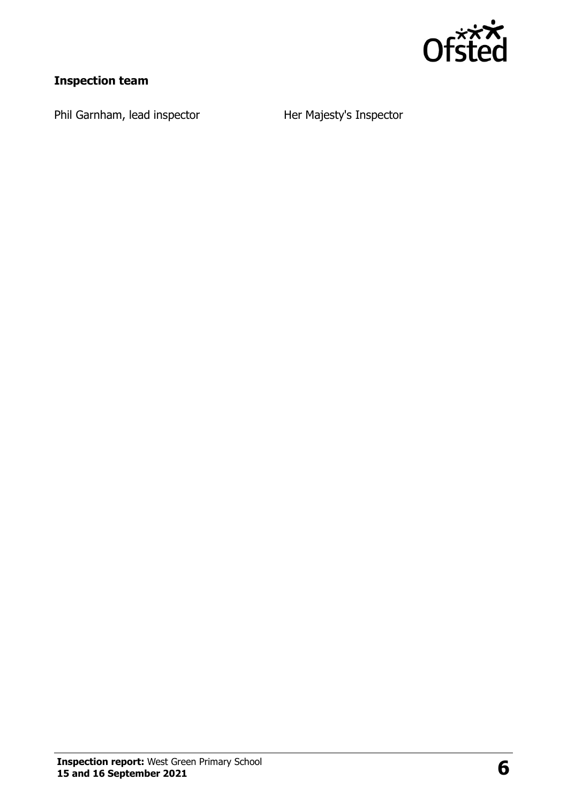

# **Inspection team**

Phil Garnham, lead inspector **Her Majesty's Inspector**